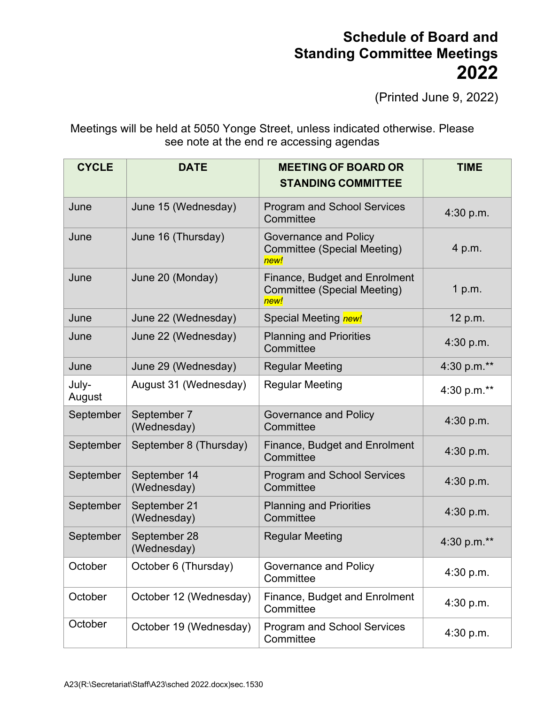## **Schedule of Board and Standing Committee Meetings 2022**

(Printed June 9, 2022)

Meetings will be held at 5050 Yonge Street, unless indicated otherwise. Please see note at the end re accessing agendas

| <b>CYCLE</b>    | <b>DATE</b>                 | <b>MEETING OF BOARD OR</b>                                                         | <b>TIME</b> |
|-----------------|-----------------------------|------------------------------------------------------------------------------------|-------------|
|                 |                             | <b>STANDING COMMITTEE</b>                                                          |             |
| June            | June 15 (Wednesday)         | <b>Program and School Services</b><br>Committee                                    | 4:30 p.m.   |
| June            | June 16 (Thursday)          | Governance and Policy<br><b>Committee (Special Meeting)</b><br>new!                | 4 p.m.      |
| June            | June 20 (Monday)            | <b>Finance, Budget and Enrolment</b><br><b>Committee (Special Meeting)</b><br>new! | 1 p.m.      |
| June            | June 22 (Wednesday)         | Special Meeting new!                                                               | 12 p.m.     |
| June            | June 22 (Wednesday)         | <b>Planning and Priorities</b><br>Committee                                        | 4:30 p.m.   |
| June            | June 29 (Wednesday)         | <b>Regular Meeting</b>                                                             | 4:30 p.m.** |
| July-<br>August | August 31 (Wednesday)       | <b>Regular Meeting</b>                                                             | 4:30 p.m.** |
| September       | September 7<br>(Wednesday)  | Governance and Policy<br>Committee                                                 | 4:30 p.m.   |
| September       | September 8 (Thursday)      | <b>Finance, Budget and Enrolment</b><br>Committee                                  | 4:30 p.m.   |
| September       | September 14<br>(Wednesday) | <b>Program and School Services</b><br>Committee                                    | 4:30 p.m.   |
| September       | September 21<br>(Wednesday) | <b>Planning and Priorities</b><br>Committee                                        | 4:30 p.m.   |
| September       | September 28<br>(Wednesday) | <b>Regular Meeting</b>                                                             | 4:30 p.m.** |
| October         | October 6 (Thursday)        | Governance and Policy<br>Committee                                                 | 4:30 p.m.   |
| October         | October 12 (Wednesday)      | Finance, Budget and Enrolment<br>Committee                                         | 4:30 p.m.   |
| October         | October 19 (Wednesday)      | Program and School Services<br>Committee                                           | 4:30 p.m.   |